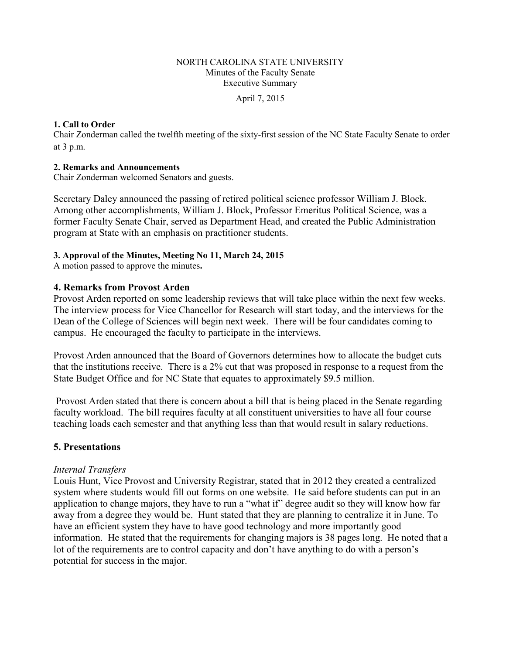#### NORTH CAROLINA STATE UNIVERSITY Minutes of the Faculty Senate Executive Summary

April 7, 2015

#### **1. Call to Order**

Chair Zonderman called the twelfth meeting of the sixty-first session of the NC State Faculty Senate to order at 3 p.m.

#### **2. Remarks and Announcements**

Chair Zonderman welcomed Senators and guests.

Secretary Daley announced the passing of retired political science professor William J. Block. Among other accomplishments, William J. Block, Professor Emeritus Political Science, was a former Faculty Senate Chair, served as Department Head, and created the Public Administration program at State with an emphasis on practitioner students.

#### **3. Approval of the Minutes, Meeting No 11, March 24, 2015**

A motion passed to approve the minutes**.** 

#### **4. Remarks from Provost Arden**

Provost Arden reported on some leadership reviews that will take place within the next few weeks. The interview process for Vice Chancellor for Research will start today, and the interviews for the Dean of the College of Sciences will begin next week. There will be four candidates coming to campus. He encouraged the faculty to participate in the interviews.

Provost Arden announced that the Board of Governors determines how to allocate the budget cuts that the institutions receive. There is a 2% cut that was proposed in response to a request from the State Budget Office and for NC State that equates to approximately \$9.5 million.

Provost Arden stated that there is concern about a bill that is being placed in the Senate regarding faculty workload. The bill requires faculty at all constituent universities to have all four course teaching loads each semester and that anything less than that would result in salary reductions.

#### **5. Presentations**

#### *Internal Transfers*

Louis Hunt, Vice Provost and University Registrar, stated that in 2012 they created a centralized system where students would fill out forms on one website. He said before students can put in an application to change majors, they have to run a "what if" degree audit so they will know how far away from a degree they would be. Hunt stated that they are planning to centralize it in June. To have an efficient system they have to have good technology and more importantly good information. He stated that the requirements for changing majors is 38 pages long. He noted that a lot of the requirements are to control capacity and don't have anything to do with a person's potential for success in the major.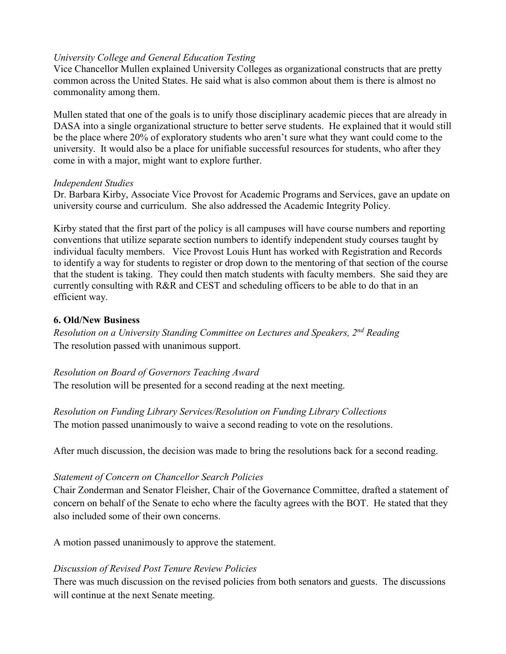## *University College and General Education Testing*

Vice Chancellor Mullen explained University Colleges as organizational constructs that are pretty common across the United States. He said what is also common about them is there is almost no commonality among them.

Mullen stated that one of the goals is to unify those disciplinary academic pieces that are already in DASA into a single organizational structure to better serve students. He explained that it would still be the place where 20% of exploratory students who aren't sure what they want could come to the university. It would also be a place for unifiable successful resources for students, who after they come in with a major, might want to explore further.

#### *Independent Studies*

Dr. Barbara Kirby, Associate Vice Provost for Academic Programs and Services, gave an update on university course and curriculum. She also addressed the Academic Integrity Policy.

Kirby stated that the first part of the policy is all campuses will have course numbers and reporting conventions that utilize separate section numbers to identify independent study courses taught by individual faculty members. Vice Provost Louis Hunt has worked with Registration and Records to identify a way for students to register or drop down to the mentoring of that section of the course that the student is taking. They could then match students with faculty members. She said they are currently consulting with R&R and CEST and scheduling officers to be able to do that in an efficient way.

## **6. Old/New Business**

*Resolution on a University Standing Committee on Lectures and Speakers, 2nd Reading* The resolution passed with unanimous support.

## *Resolution on Board of Governors Teaching Award*

The resolution will be presented for a second reading at the next meeting.

# *Resolution on Funding Library Services/Resolution on Funding Library Collections*

The motion passed unanimously to waive a second reading to vote on the resolutions.

After much discussion, the decision was made to bring the resolutions back for a second reading.

# *Statement of Concern on Chancellor Search Policies*

Chair Zonderman and Senator Fleisher, Chair of the Governance Committee, drafted a statement of concern on behalf of the Senate to echo where the faculty agrees with the BOT. He stated that they also included some of their own concerns.

A motion passed unanimously to approve the statement.

# *Discussion of Revised Post Tenure Review Policies*

There was much discussion on the revised policies from both senators and guests. The discussions will continue at the next Senate meeting.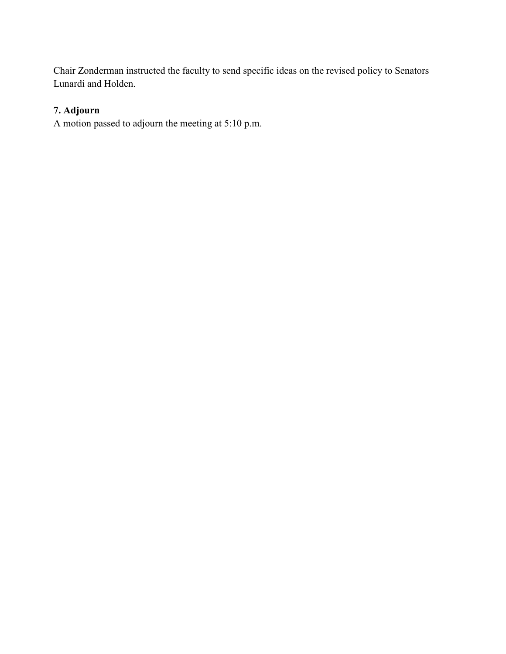Chair Zonderman instructed the faculty to send specific ideas on the revised policy to Senators Lunardi and Holden.

# **7. Adjourn**

A motion passed to adjourn the meeting at 5:10 p.m.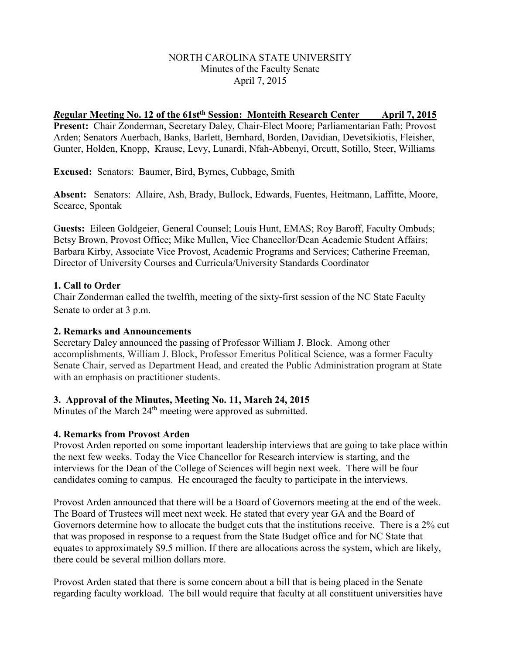#### NORTH CAROLINA STATE UNIVERSITY Minutes of the Faculty Senate April 7, 2015

*R***egular Meeting No. 12 of the 61stth Session: Monteith Research Center April 7, 2015 Present:** Chair Zonderman, Secretary Daley, Chair-Elect Moore; Parliamentarian Fath; Provost Arden; Senators Auerbach, Banks, Barlett, Bernhard, Borden, Davidian, Devetsikiotis, Fleisher, Gunter, Holden, Knopp, Krause, Levy, Lunardi, Nfah-Abbenyi, Orcutt, Sotillo, Steer, Williams

**Excused:** Senators: Baumer, Bird, Byrnes, Cubbage, Smith

**Absent:** Senators: Allaire, Ash, Brady, Bullock, Edwards, Fuentes, Heitmann, Laffitte, Moore, Scearce, Spontak

G**uests:** Eileen Goldgeier, General Counsel; Louis Hunt, EMAS; Roy Baroff, Faculty Ombuds; Betsy Brown, Provost Office; Mike Mullen, Vice Chancellor/Dean Academic Student Affairs; Barbara Kirby, Associate Vice Provost, Academic Programs and Services; Catherine Freeman, Director of University Courses and Curricula/University Standards Coordinator

#### **1. Call to Order**

Chair Zonderman called the twelfth, meeting of the sixty-first session of the NC State Faculty Senate to order at 3 p.m.

#### **2. Remarks and Announcements**

Secretary Daley announced the passing of Professor William J. Block. Among other accomplishments, William J. Block, Professor Emeritus Political Science, was a former Faculty Senate Chair, served as Department Head, and created the Public Administration program at State with an emphasis on practitioner students.

## **3. Approval of the Minutes, Meeting No. 11, March 24, 2015**

Minutes of the March 24<sup>th</sup> meeting were approved as submitted.

## **4. Remarks from Provost Arden**

Provost Arden reported on some important leadership interviews that are going to take place within the next few weeks. Today the Vice Chancellor for Research interview is starting, and the interviews for the Dean of the College of Sciences will begin next week. There will be four candidates coming to campus. He encouraged the faculty to participate in the interviews.

Provost Arden announced that there will be a Board of Governors meeting at the end of the week. The Board of Trustees will meet next week. He stated that every year GA and the Board of Governors determine how to allocate the budget cuts that the institutions receive. There is a 2% cut that was proposed in response to a request from the State Budget office and for NC State that equates to approximately \$9.5 million. If there are allocations across the system, which are likely, there could be several million dollars more.

Provost Arden stated that there is some concern about a bill that is being placed in the Senate regarding faculty workload. The bill would require that faculty at all constituent universities have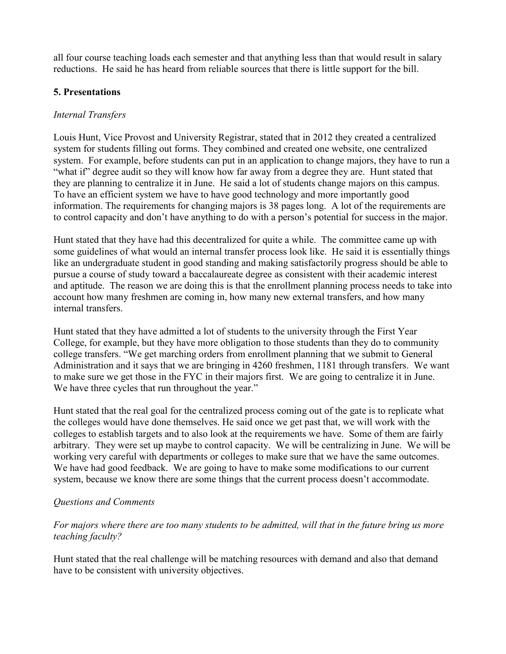all four course teaching loads each semester and that anything less than that would result in salary reductions. He said he has heard from reliable sources that there is little support for the bill.

#### **5. Presentations**

#### *Internal Transfers*

Louis Hunt, Vice Provost and University Registrar, stated that in 2012 they created a centralized system for students filling out forms. They combined and created one website, one centralized system. For example, before students can put in an application to change majors, they have to run a "what if" degree audit so they will know how far away from a degree they are. Hunt stated that they are planning to centralize it in June. He said a lot of students change majors on this campus. To have an efficient system we have to have good technology and more importantly good information. The requirements for changing majors is 38 pages long. A lot of the requirements are to control capacity and don't have anything to do with a person's potential for success in the major.

Hunt stated that they have had this decentralized for quite a while. The committee came up with some guidelines of what would an internal transfer process look like. He said it is essentially things like an undergraduate student in good standing and making satisfactorily progress should be able to pursue a course of study toward a baccalaureate degree as consistent with their academic interest and aptitude. The reason we are doing this is that the enrollment planning process needs to take into account how many freshmen are coming in, how many new external transfers, and how many internal transfers.

Hunt stated that they have admitted a lot of students to the university through the First Year College, for example, but they have more obligation to those students than they do to community college transfers. "We get marching orders from enrollment planning that we submit to General Administration and it says that we are bringing in 4260 freshmen, 1181 through transfers. We want to make sure we get those in the FYC in their majors first. We are going to centralize it in June. We have three cycles that run throughout the year."

Hunt stated that the real goal for the centralized process coming out of the gate is to replicate what the colleges would have done themselves. He said once we get past that, we will work with the colleges to establish targets and to also look at the requirements we have. Some of them are fairly arbitrary. They were set up maybe to control capacity. We will be centralizing in June. We will be working very careful with departments or colleges to make sure that we have the same outcomes. We have had good feedback. We are going to have to make some modifications to our current system, because we know there are some things that the current process doesn't accommodate.

## *Questions and Comments*

*For majors where there are too many students to be admitted, will that in the future bring us more teaching faculty?*

Hunt stated that the real challenge will be matching resources with demand and also that demand have to be consistent with university objectives.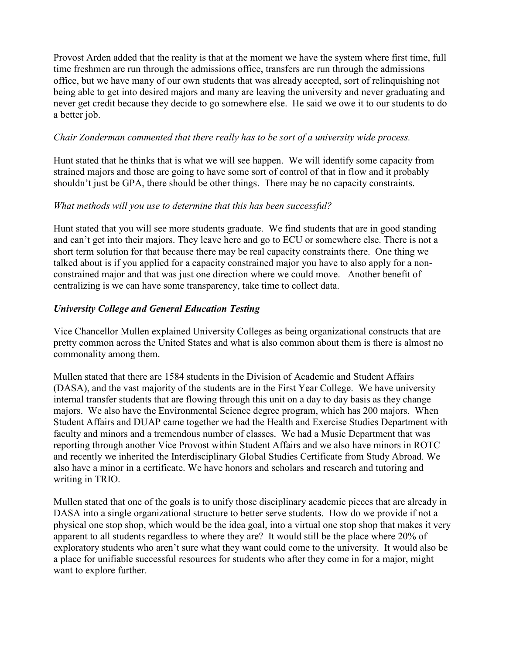Provost Arden added that the reality is that at the moment we have the system where first time, full time freshmen are run through the admissions office, transfers are run through the admissions office, but we have many of our own students that was already accepted, sort of relinquishing not being able to get into desired majors and many are leaving the university and never graduating and never get credit because they decide to go somewhere else. He said we owe it to our students to do a better job.

#### *Chair Zonderman commented that there really has to be sort of a university wide process.*

Hunt stated that he thinks that is what we will see happen. We will identify some capacity from strained majors and those are going to have some sort of control of that in flow and it probably shouldn't just be GPA, there should be other things. There may be no capacity constraints.

## *What methods will you use to determine that this has been successful?*

Hunt stated that you will see more students graduate. We find students that are in good standing and can't get into their majors. They leave here and go to ECU or somewhere else. There is not a short term solution for that because there may be real capacity constraints there. One thing we talked about is if you applied for a capacity constrained major you have to also apply for a nonconstrained major and that was just one direction where we could move. Another benefit of centralizing is we can have some transparency, take time to collect data.

## *University College and General Education Testing*

Vice Chancellor Mullen explained University Colleges as being organizational constructs that are pretty common across the United States and what is also common about them is there is almost no commonality among them.

Mullen stated that there are 1584 students in the Division of Academic and Student Affairs (DASA), and the vast majority of the students are in the First Year College. We have university internal transfer students that are flowing through this unit on a day to day basis as they change majors. We also have the Environmental Science degree program, which has 200 majors. When Student Affairs and DUAP came together we had the Health and Exercise Studies Department with faculty and minors and a tremendous number of classes. We had a Music Department that was reporting through another Vice Provost within Student Affairs and we also have minors in ROTC and recently we inherited the Interdisciplinary Global Studies Certificate from Study Abroad. We also have a minor in a certificate. We have honors and scholars and research and tutoring and writing in TRIO.

Mullen stated that one of the goals is to unify those disciplinary academic pieces that are already in DASA into a single organizational structure to better serve students. How do we provide if not a physical one stop shop, which would be the idea goal, into a virtual one stop shop that makes it very apparent to all students regardless to where they are? It would still be the place where 20% of exploratory students who aren't sure what they want could come to the university. It would also be a place for unifiable successful resources for students who after they come in for a major, might want to explore further.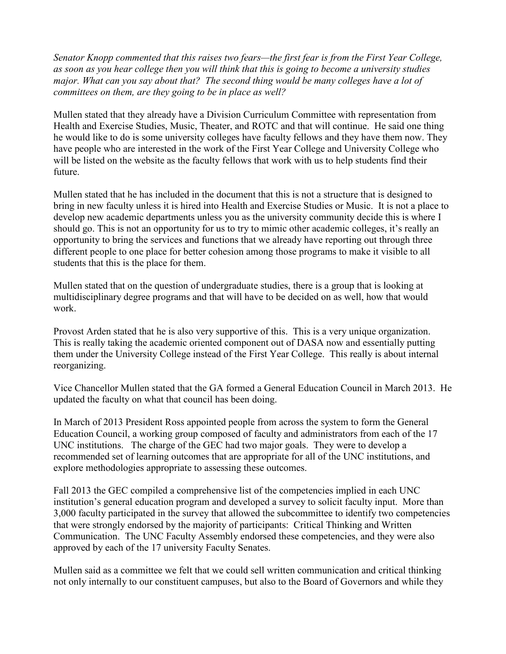*Senator Knopp commented that this raises two fears—the first fear is from the First Year College, as soon as you hear college then you will think that this is going to become a university studies major. What can you say about that? The second thing would be many colleges have a lot of committees on them, are they going to be in place as well?* 

Mullen stated that they already have a Division Curriculum Committee with representation from Health and Exercise Studies, Music, Theater, and ROTC and that will continue. He said one thing he would like to do is some university colleges have faculty fellows and they have them now. They have people who are interested in the work of the First Year College and University College who will be listed on the website as the faculty fellows that work with us to help students find their future.

Mullen stated that he has included in the document that this is not a structure that is designed to bring in new faculty unless it is hired into Health and Exercise Studies or Music. It is not a place to develop new academic departments unless you as the university community decide this is where I should go. This is not an opportunity for us to try to mimic other academic colleges, it's really an opportunity to bring the services and functions that we already have reporting out through three different people to one place for better cohesion among those programs to make it visible to all students that this is the place for them.

Mullen stated that on the question of undergraduate studies, there is a group that is looking at multidisciplinary degree programs and that will have to be decided on as well, how that would work.

Provost Arden stated that he is also very supportive of this. This is a very unique organization. This is really taking the academic oriented component out of DASA now and essentially putting them under the University College instead of the First Year College. This really is about internal reorganizing.

Vice Chancellor Mullen stated that the GA formed a General Education Council in March 2013. He updated the faculty on what that council has been doing.

In March of 2013 President Ross appointed people from across the system to form the General Education Council, a working group composed of faculty and administrators from each of the 17 UNC institutions. The charge of the GEC had two major goals. They were to develop a recommended set of learning outcomes that are appropriate for all of the UNC institutions, and explore methodologies appropriate to assessing these outcomes.

Fall 2013 the GEC compiled a comprehensive list of the competencies implied in each UNC institution's general education program and developed a survey to solicit faculty input. More than 3,000 faculty participated in the survey that allowed the subcommittee to identify two competencies that were strongly endorsed by the majority of participants: Critical Thinking and Written Communication. The UNC Faculty Assembly endorsed these competencies, and they were also approved by each of the 17 university Faculty Senates.

Mullen said as a committee we felt that we could sell written communication and critical thinking not only internally to our constituent campuses, but also to the Board of Governors and while they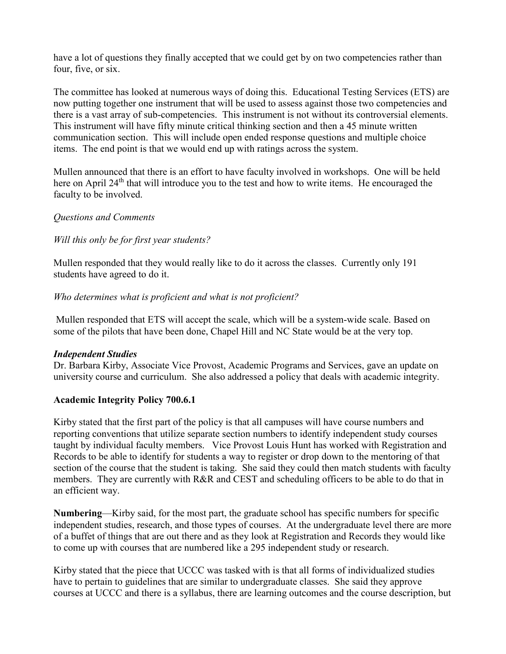have a lot of questions they finally accepted that we could get by on two competencies rather than four, five, or six.

The committee has looked at numerous ways of doing this. Educational Testing Services (ETS) are now putting together one instrument that will be used to assess against those two competencies and there is a vast array of sub-competencies. This instrument is not without its controversial elements. This instrument will have fifty minute critical thinking section and then a 45 minute written communication section. This will include open ended response questions and multiple choice items. The end point is that we would end up with ratings across the system.

Mullen announced that there is an effort to have faculty involved in workshops. One will be held here on April 24<sup>th</sup> that will introduce you to the test and how to write items. He encouraged the faculty to be involved.

#### *Questions and Comments*

#### *Will this only be for first year students?*

Mullen responded that they would really like to do it across the classes. Currently only 191 students have agreed to do it.

#### *Who determines what is proficient and what is not proficient?*

Mullen responded that ETS will accept the scale, which will be a system-wide scale. Based on some of the pilots that have been done, Chapel Hill and NC State would be at the very top.

#### *Independent Studies*

Dr. Barbara Kirby, Associate Vice Provost, Academic Programs and Services, gave an update on university course and curriculum. She also addressed a policy that deals with academic integrity.

## **Academic Integrity Policy 700.6.1**

Kirby stated that the first part of the policy is that all campuses will have course numbers and reporting conventions that utilize separate section numbers to identify independent study courses taught by individual faculty members. Vice Provost Louis Hunt has worked with Registration and Records to be able to identify for students a way to register or drop down to the mentoring of that section of the course that the student is taking. She said they could then match students with faculty members. They are currently with R&R and CEST and scheduling officers to be able to do that in an efficient way.

**Numbering**—Kirby said, for the most part, the graduate school has specific numbers for specific independent studies, research, and those types of courses. At the undergraduate level there are more of a buffet of things that are out there and as they look at Registration and Records they would like to come up with courses that are numbered like a 295 independent study or research.

Kirby stated that the piece that UCCC was tasked with is that all forms of individualized studies have to pertain to guidelines that are similar to undergraduate classes. She said they approve courses at UCCC and there is a syllabus, there are learning outcomes and the course description, but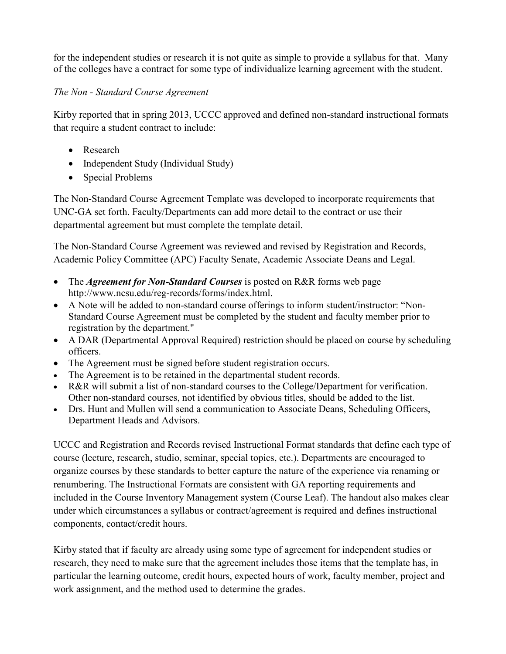for the independent studies or research it is not quite as simple to provide a syllabus for that. Many of the colleges have a contract for some type of individualize learning agreement with the student.

# *The Non - Standard Course Agreement*

Kirby reported that in spring 2013, UCCC approved and defined non-standard instructional formats that require a student contract to include:

- Research
- Independent Study (Individual Study)
- Special Problems

The Non-Standard Course Agreement Template was developed to incorporate requirements that UNC-GA set forth. Faculty/Departments can add more detail to the contract or use their departmental agreement but must complete the template detail.

The Non-Standard Course Agreement was reviewed and revised by Registration and Records, Academic Policy Committee (APC) Faculty Senate, Academic Associate Deans and Legal.

- The *Agreement for Non-Standard Courses* is posted on R&R forms web page http://www.ncsu.edu/reg-records/forms/index.html.
- A Note will be added to non-standard course offerings to inform student/instructor: "Non-Standard Course Agreement must be completed by the student and faculty member prior to registration by the department."
- A DAR (Departmental Approval Required) restriction should be placed on course by scheduling officers.
- The Agreement must be signed before student registration occurs.
- The Agreement is to be retained in the departmental student records.
- R&R will submit a list of non-standard courses to the College/Department for verification. Other non-standard courses, not identified by obvious titles, should be added to the list.
- Drs. Hunt and Mullen will send a communication to Associate Deans, Scheduling Officers, Department Heads and Advisors.

UCCC and Registration and Records revised Instructional Format standards that define each type of course (lecture, research, studio, seminar, special topics, etc.). Departments are encouraged to organize courses by these standards to better capture the nature of the experience via renaming or renumbering. The Instructional Formats are consistent with GA reporting requirements and included in the Course Inventory Management system (Course Leaf). The handout also makes clear under which circumstances a syllabus or contract/agreement is required and defines instructional components, contact/credit hours.

Kirby stated that if faculty are already using some type of agreement for independent studies or research, they need to make sure that the agreement includes those items that the template has, in particular the learning outcome, credit hours, expected hours of work, faculty member, project and work assignment, and the method used to determine the grades.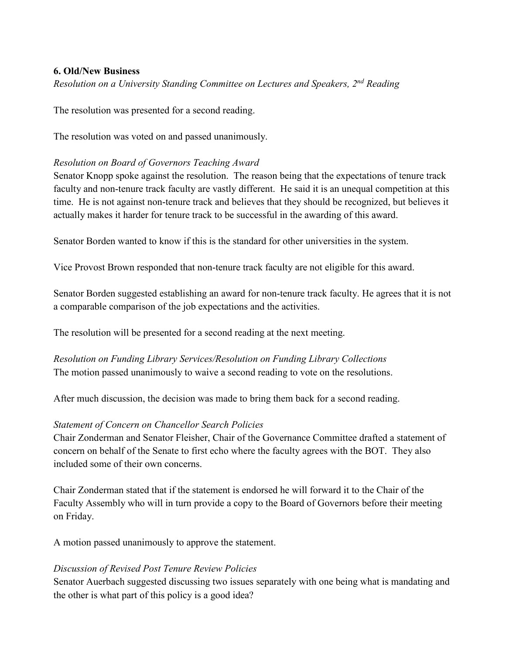#### **6. Old/New Business**

*Resolution on a University Standing Committee on Lectures and Speakers, 2nd Reading*

The resolution was presented for a second reading.

The resolution was voted on and passed unanimously.

#### *Resolution on Board of Governors Teaching Award*

Senator Knopp spoke against the resolution. The reason being that the expectations of tenure track faculty and non-tenure track faculty are vastly different. He said it is an unequal competition at this time. He is not against non-tenure track and believes that they should be recognized, but believes it actually makes it harder for tenure track to be successful in the awarding of this award.

Senator Borden wanted to know if this is the standard for other universities in the system.

Vice Provost Brown responded that non-tenure track faculty are not eligible for this award.

Senator Borden suggested establishing an award for non-tenure track faculty. He agrees that it is not a comparable comparison of the job expectations and the activities.

The resolution will be presented for a second reading at the next meeting.

*Resolution on Funding Library Services/Resolution on Funding Library Collections*  The motion passed unanimously to waive a second reading to vote on the resolutions.

After much discussion, the decision was made to bring them back for a second reading.

## *Statement of Concern on Chancellor Search Policies*

Chair Zonderman and Senator Fleisher, Chair of the Governance Committee drafted a statement of concern on behalf of the Senate to first echo where the faculty agrees with the BOT. They also included some of their own concerns.

Chair Zonderman stated that if the statement is endorsed he will forward it to the Chair of the Faculty Assembly who will in turn provide a copy to the Board of Governors before their meeting on Friday.

A motion passed unanimously to approve the statement.

#### *Discussion of Revised Post Tenure Review Policies*

Senator Auerbach suggested discussing two issues separately with one being what is mandating and the other is what part of this policy is a good idea?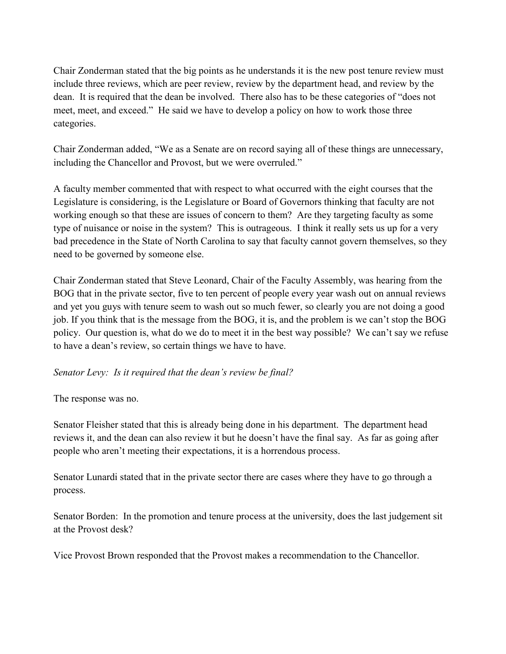Chair Zonderman stated that the big points as he understands it is the new post tenure review must include three reviews, which are peer review, review by the department head, and review by the dean. It is required that the dean be involved. There also has to be these categories of "does not meet, meet, and exceed." He said we have to develop a policy on how to work those three categories.

Chair Zonderman added, "We as a Senate are on record saying all of these things are unnecessary, including the Chancellor and Provost, but we were overruled."

A faculty member commented that with respect to what occurred with the eight courses that the Legislature is considering, is the Legislature or Board of Governors thinking that faculty are not working enough so that these are issues of concern to them? Are they targeting faculty as some type of nuisance or noise in the system? This is outrageous. I think it really sets us up for a very bad precedence in the State of North Carolina to say that faculty cannot govern themselves, so they need to be governed by someone else.

Chair Zonderman stated that Steve Leonard, Chair of the Faculty Assembly, was hearing from the BOG that in the private sector, five to ten percent of people every year wash out on annual reviews and yet you guys with tenure seem to wash out so much fewer, so clearly you are not doing a good job. If you think that is the message from the BOG, it is, and the problem is we can't stop the BOG policy. Our question is, what do we do to meet it in the best way possible? We can't say we refuse to have a dean's review, so certain things we have to have.

## *Senator Levy: Is it required that the dean's review be final?*

The response was no.

Senator Fleisher stated that this is already being done in his department. The department head reviews it, and the dean can also review it but he doesn't have the final say. As far as going after people who aren't meeting their expectations, it is a horrendous process.

Senator Lunardi stated that in the private sector there are cases where they have to go through a process.

Senator Borden: In the promotion and tenure process at the university, does the last judgement sit at the Provost desk?

Vice Provost Brown responded that the Provost makes a recommendation to the Chancellor.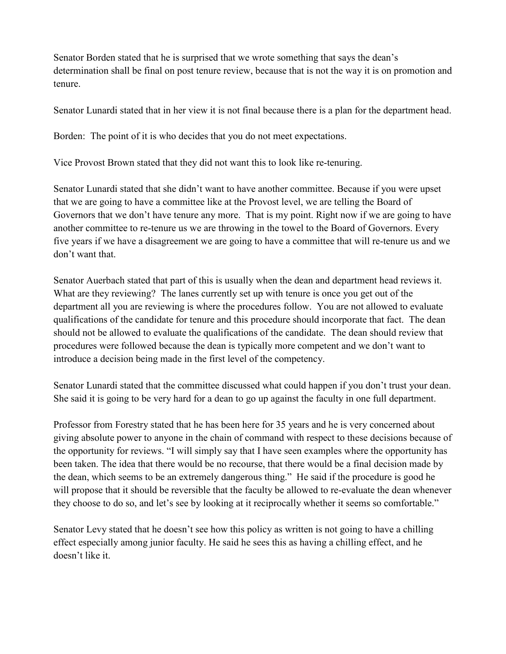Senator Borden stated that he is surprised that we wrote something that says the dean's determination shall be final on post tenure review, because that is not the way it is on promotion and tenure.

Senator Lunardi stated that in her view it is not final because there is a plan for the department head.

Borden: The point of it is who decides that you do not meet expectations.

Vice Provost Brown stated that they did not want this to look like re-tenuring.

Senator Lunardi stated that she didn't want to have another committee. Because if you were upset that we are going to have a committee like at the Provost level, we are telling the Board of Governors that we don't have tenure any more. That is my point. Right now if we are going to have another committee to re-tenure us we are throwing in the towel to the Board of Governors. Every five years if we have a disagreement we are going to have a committee that will re-tenure us and we don't want that.

Senator Auerbach stated that part of this is usually when the dean and department head reviews it. What are they reviewing? The lanes currently set up with tenure is once you get out of the department all you are reviewing is where the procedures follow. You are not allowed to evaluate qualifications of the candidate for tenure and this procedure should incorporate that fact. The dean should not be allowed to evaluate the qualifications of the candidate. The dean should review that procedures were followed because the dean is typically more competent and we don't want to introduce a decision being made in the first level of the competency.

Senator Lunardi stated that the committee discussed what could happen if you don't trust your dean. She said it is going to be very hard for a dean to go up against the faculty in one full department.

Professor from Forestry stated that he has been here for 35 years and he is very concerned about giving absolute power to anyone in the chain of command with respect to these decisions because of the opportunity for reviews. "I will simply say that I have seen examples where the opportunity has been taken. The idea that there would be no recourse, that there would be a final decision made by the dean, which seems to be an extremely dangerous thing." He said if the procedure is good he will propose that it should be reversible that the faculty be allowed to re-evaluate the dean whenever they choose to do so, and let's see by looking at it reciprocally whether it seems so comfortable."

Senator Levy stated that he doesn't see how this policy as written is not going to have a chilling effect especially among junior faculty. He said he sees this as having a chilling effect, and he doesn't like it.